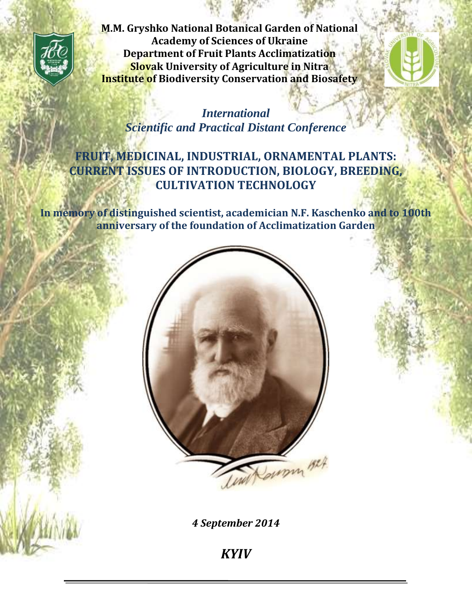

**M.M. Gryshko National Botanical Garden of National Academy of Sciences of Ukraine Department of Fruit Plants Acclimatization Slovak University of Agriculture in Nitra Institute of Biodiversity Conservation and Biosafety**



*International Scientific and Practical Distant Conference*

# **FRUIT, MEDICINAL, INDUSTRIAL, ORNAMENTAL PLANTS: CURRENT ISSUES OF INTRODUCTION, BIOLOGY, BREEDING, CULTIVATION TECHNOLOGY**

**In memory of distinguished scientist, academician N.F. Kaschenko and to 100th anniversary of the foundation of Acclimatization Garden**



*4 September 2014*

*KYIV*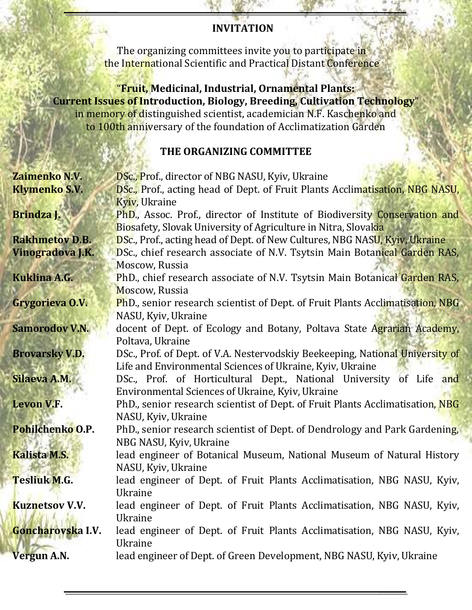#### **INVITATION**

The organizing committees invite you to participate in the International Scientific and Practical Distant Conference

"**Fruit, Medicinal, Industrial, Ornamental Plants: Current Issues of Introduction, Biology, Breeding, Cultivation Technology**" in memory of distinguished scientist, academician N.F. Kaschenko and to 100th anniversary of the foundation of Acclimatization Garden

#### **THE ORGANIZING COMMITTEE**

| Zaimenko N.V.         | <b>DSc., Prof., director of NBG NASU, Kyiv, Ukraine</b>                                |
|-----------------------|----------------------------------------------------------------------------------------|
| <b>Klymenko S.V.</b>  | <b>DSc., Prof., acting head of Dept. of Fruit Plants Acclimatisation, NBG NASU,</b>    |
|                       | Kyiv, Ukraine                                                                          |
| Brindza J.            | <b>PhD.</b> , Assoc. Prof., director of Institute of Biodiversity Conservation and     |
|                       | Biosafety, Slovak University of Agriculture in Nitra, Slovakia                         |
| <b>Rakhmetov D.B.</b> | DSc., Prof., acting head of Dept. of New Cultures, NBG NASU, Kyiv, Ukraine             |
| Vinogradova J.K.      | DSc., chief research associate of N.V. Tsytsin Main Botanical Garden RAS,              |
|                       | Moscow, Russia                                                                         |
| Kuklina A.G.          | PhD., chief research associate of N.V. Tsytsin Main Botanical Garden RAS,              |
|                       | Moscow, Russia                                                                         |
| Grygorieva O.V.       | <b>PhD.</b> , senior research scientist of Dept. of Fruit Plants Acclimatisation, NBG. |
|                       | NASU, Kyiv, Ukraine                                                                    |
| <b>Samorodov V.N.</b> | docent of Dept. of Ecology and Botany, Poltava State Agrarian Academy,                 |
|                       | Poltava, Ukraine                                                                       |
| <b>Brovarsky V.D.</b> | DSc., Prof. of Dept. of V.A. Nestervodskiy Beekeeping, National University of          |
|                       | Life and Environmental Sciences of Ukraine, Kyiv, Ukraine                              |
| Silaeva A.M.          | DSc., Prof. of Horticultural Dept., National University of Life<br>and                 |
|                       | Environmental Sciences of Ukraine, Kyiv, Ukraine                                       |
| <b>Levon V.F.</b>     | PhD., senior research scientist of Dept. of Fruit Plants Acclimatisation, NBG          |
|                       | NASU, Kyiv, Ukraine                                                                    |
| Pohilchenko O.P.      | PhD., senior research scientist of Dept. of Dendrology and Park Gardening,             |
|                       | NBG NASU, Kyiv, Ukraine                                                                |
| <b>Kalista M.S.</b>   | lead engineer of Botanical Museum, National Museum of Natural History                  |
|                       | NASU, Kyiv, Ukraine                                                                    |
| <b>Tesliuk M.G.</b>   | lead engineer of Dept. of Fruit Plants Acclimatisation, NBG NASU, Kyiv,                |
|                       | Ukraine                                                                                |
| <b>Kuznetsov V.V.</b> | lead engineer of Dept. of Fruit Plants Acclimatisation, NBG NASU, Kyiv,                |
|                       | Ukraine                                                                                |
| Goncharovska I.V.     | lead engineer of Dept. of Fruit Plants Acclimatisation, NBG NASU, Kyiv,                |
|                       | <b>Ukraine</b>                                                                         |
| <b>Vergun A.N.</b>    | lead engineer of Dept. of Green Development, NBG NASU, Kyiv, Ukraine                   |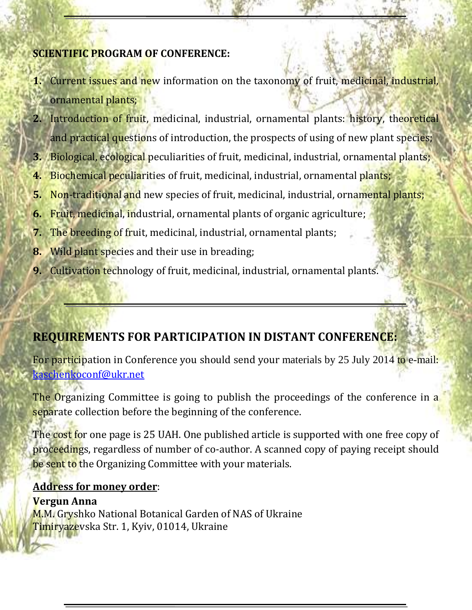### **SCIENTIFIC PROGRAM OF CONFERENCE:**

- **1.** Current issues and new information on the taxonomy of fruit, medicinal, industrial, ornamental plants;
- **2.** Introduction of fruit, medicinal, industrial, ornamental plants: history, theoretical and practical questions of introduction, the prospects of using of new plant species;
- **3.** Biological, ecological peculiarities of fruit, medicinal, industrial, ornamental plants;
- **4.** Biochemical peculiarities of fruit, medicinal, industrial, ornamental plants;
- **5.** Non-traditional and new species of fruit, medicinal, industrial, ornamental plants;
- **6.** Fruit, medicinal, industrial, ornamental plants of organic agriculture;
- **7.** The breeding of fruit, medicinal, industrial, ornamental plants;
- **8.** Wild plant species and their use in breading;
- **9.** Cultivation technology of fruit, medicinal, industrial, ornamental plants.

# **REQUIREMENTS FOR PARTICIPATION IN DISTANT CONFERENCE:**

For participation in Conference you should send your materials by 25 July 2014 to e-mail: [kaschenkoconf@ukr.net](mailto:kaschenkoconf@ukr.net)

The Organizing Committee is going to publish the proceedings of the conference in a separate collection before the beginning of the conference.

The cost for one page is 25 UAH. One published article is supported with one free copy of proceedings, regardless of number of co-author. A scanned copy of paying receipt should be sent to the Organizing Committee with your materials.

#### **Address for money order**:

**Vergun Anna** M.M. Gryshko National Botanical Garden of NAS of Ukraine Timiryazevska Str. 1, Kyiv, 01014, Ukraine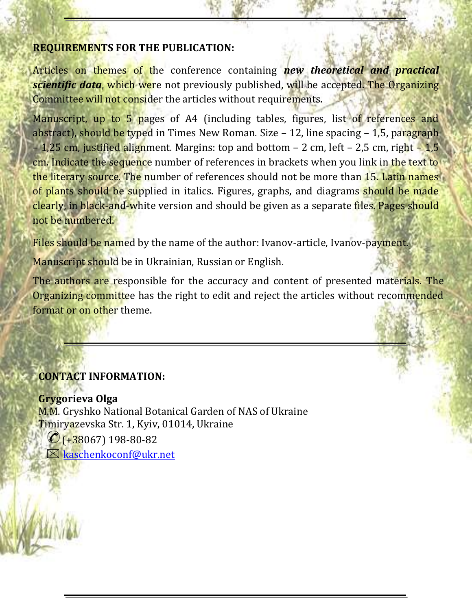#### **REQUIREMENTS FOR THE PUBLICATION:**

Articles on themes of the conference containing *new theoretical and practical scientific data*, which were not previously published, will be accepted. The Organizing Committee will not consider the articles without requirements.

Manuscript, up to 5 pages of A4 (including tables, figures, list of references and abstract), should be typed in Times New Roman. Size  $-12$ , line spacing  $-1.5$ , paragraph – 1,25 cm, justified alignment. Margins: top and bottom – 2 cm, left – 2,5 cm, right –  $1,5$ cm. Indicate the sequence number of references in brackets when you link in the text to the literary source. The number of references should not be more than 15. Latin names of plants should be supplied in italics. Figures, graphs, and diagrams should be made clearly, in black-and-white version and should be given as a separate files. Pages should not be numbered.

Files should be named by the name of the author: Ivanov-article, Ivanov-payment.

Manuscript should be in Ukrainian, Russian or English.

[The](http://elibrary.ru/item.asp?id=17982637) authors are responsible for the accuracy and content of presented materials. The [Organizing committee has the right to edit and reject the articles without recommended](http://elibrary.ru/item.asp?id=17982637)  [format or on other theme.](http://elibrary.ru/item.asp?id=17982637)

## **CONTACT INFORMATION:**

**Grygorieva Olga** M.M. Gryshko National Botanical Garden of NАS of Ukraine Timiryazevska Str. 1, Kyiv, 01014, Ukraine  $\mathcal{O}(1.38067)$  198-80-82

 $\boxtimes$  [kaschenkoconf@ukr.net](mailto:kaschenkoconf@ukr.net)